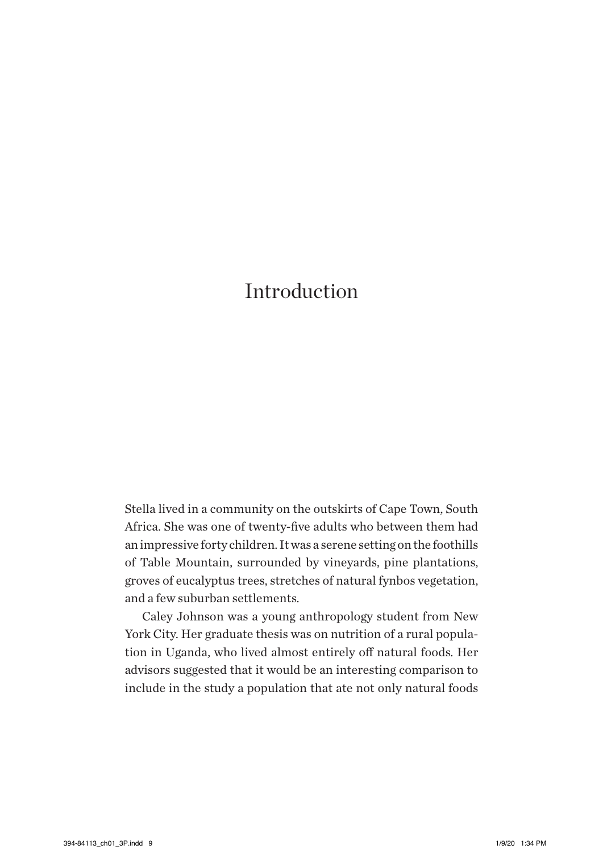## Introduction

Stella lived in a community on the outskirts of Cape Town, South Africa. She was one of twenty-five adults who between them had an impressive forty children. It was a serene setting on the foothills of Table Mountain, surrounded by vineyards, pine plantations, groves of eucalyptus trees, stretches of natural fynbos vegetation, and a few suburban settlements.

Caley Johnson was a young anthropology student from New York City. Her graduate thesis was on nutrition of a rural population in Uganda, who lived almost entirely off natural foods. Her advisors suggested that it would be an interesting comparison to include in the study a population that ate not only natural foods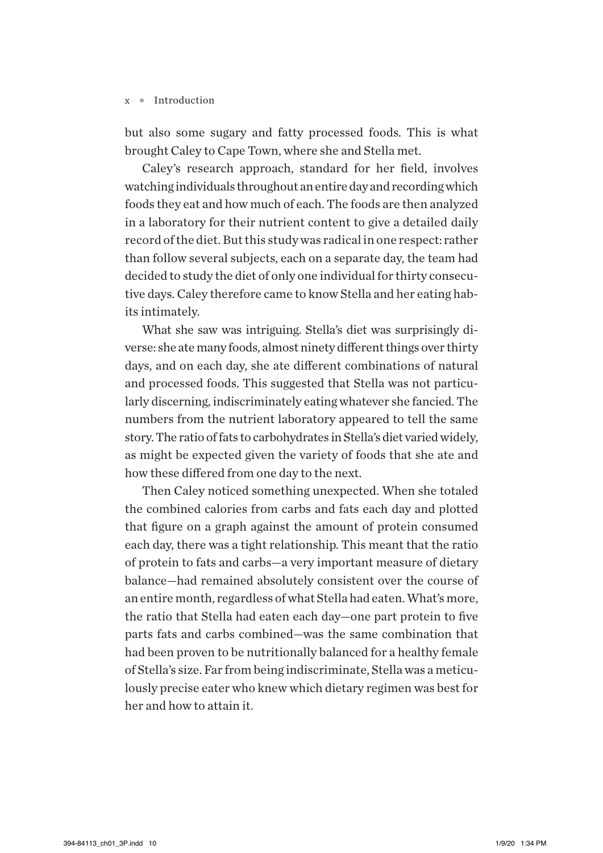but also some sugary and fatty processed foods. This is what brought Caley to Cape Town, where she and Stella met.

Caley's research approach, standard for her field, involves watching individuals throughout an entire day and recording which foods they eat and how much of each. The foods are then analyzed in a laboratory for their nutrient content to give a detailed daily record of the diet. But this study was radical in one respect: rather than follow several subjects, each on a separate day, the team had decided to study the diet of only one individual for thirty consecutive days. Caley therefore came to know Stella and her eating habits intimately.

What she saw was intriguing. Stella's diet was surprisingly diverse: she ate many foods, almost ninety different things over thirty days, and on each day, she ate different combinations of natural and processed foods. This suggested that Stella was not particularly discerning, indiscriminately eating whatever she fancied. The numbers from the nutrient laboratory appeared to tell the same story. The ratio of fats to carbohydrates in Stella's diet varied widely, as might be expected given the variety of foods that she ate and how these differed from one day to the next.

Then Caley noticed something unexpected. When she totaled the combined calories from carbs and fats each day and plotted that figure on a graph against the amount of protein consumed each day, there was a tight relationship. This meant that the ratio of protein to fats and carbs—a very important measure of dietary balance—had remained absolutely consistent over the course of an entire month, regardless of what Stella had eaten. What's more, the ratio that Stella had eaten each day—one part protein to five parts fats and carbs combined—was the same combination that had been proven to be nutritionally balanced for a healthy female of Stella's size. Far from being indiscriminate, Stella was a meticulously precise eater who knew which dietary regimen was best for her and how to attain it.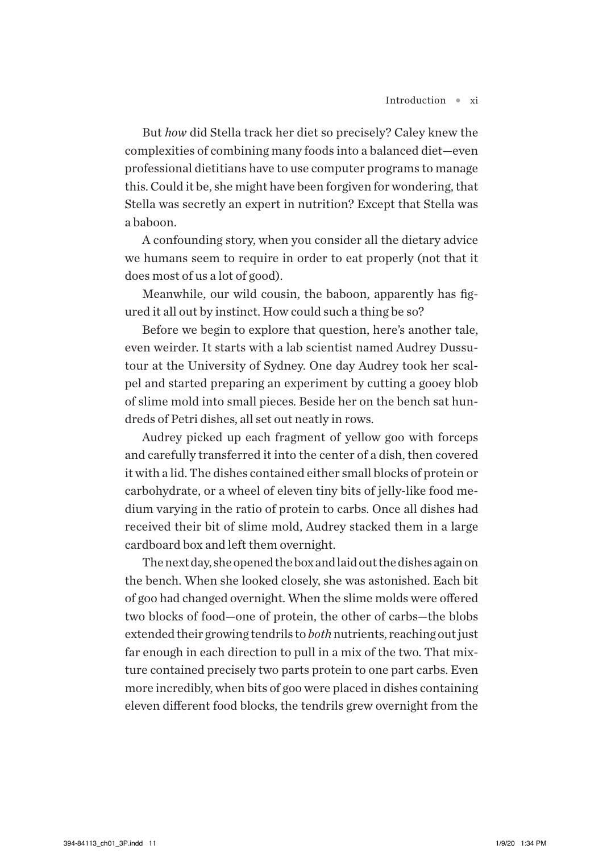But *how* did Stella track her diet so precisely? Caley knew the complexities of combining many foods into a balanced diet—even professional dietitians have to use computer programs to manage this. Could it be, she might have been forgiven for wondering, that Stella was secretly an expert in nutrition? Except that Stella was a baboon.

A confounding story, when you consider all the dietary advice we humans seem to require in order to eat properly (not that it does most of us a lot of good).

Meanwhile, our wild cousin, the baboon, apparently has figured it all out by instinct. How could such a thing be so?

Before we begin to explore that question, here's another tale, even weirder. It starts with a lab scientist named Audrey Dussutour at the University of Sydney. One day Audrey took her scalpel and started preparing an experiment by cutting a gooey blob of slime mold into small pieces. Beside her on the bench sat hundreds of Petri dishes, all set out neatly in rows.

Audrey picked up each fragment of yellow goo with forceps and carefully transferred it into the center of a dish, then covered it with a lid. The dishes contained either small blocks of protein or carbohydrate, or a wheel of eleven tiny bits of jelly-like food medium varying in the ratio of protein to carbs. Once all dishes had received their bit of slime mold, Audrey stacked them in a large cardboard box and left them overnight.

The next day, she opened the box and laid out the dishes again on the bench. When she looked closely, she was astonished. Each bit of goo had changed overnight. When the slime molds were offered two blocks of food—one of protein, the other of carbs—the blobs extended their growing tendrils to *both* nutrients, reaching out just far enough in each direction to pull in a mix of the two. That mixture contained precisely two parts protein to one part carbs. Even more incredibly, when bits of goo were placed in dishes containing eleven different food blocks, the tendrils grew overnight from the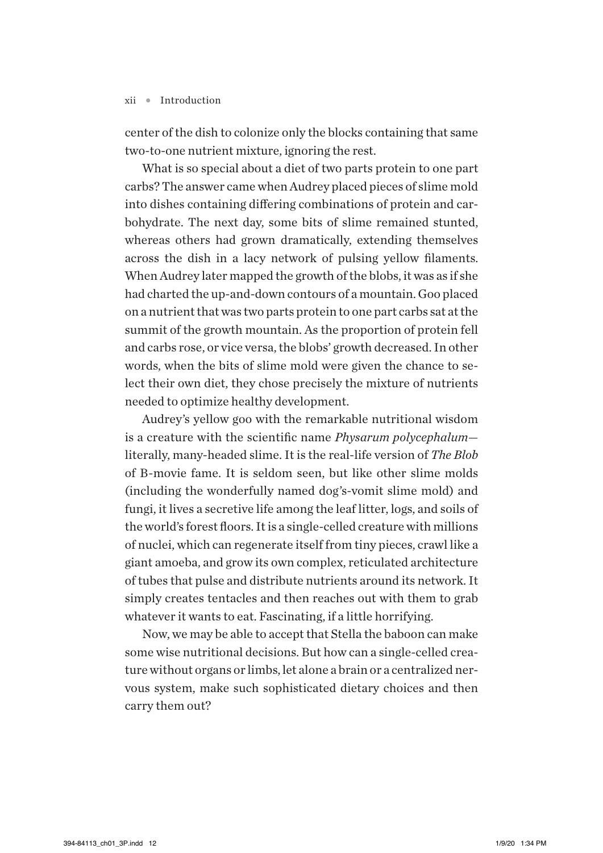center of the dish to colonize only the blocks containing that same two-to-one nutrient mixture, ignoring the rest.

What is so special about a diet of two parts protein to one part carbs? The answer came when Audrey placed pieces of slime mold into dishes containing differing combinations of protein and carbohydrate. The next day, some bits of slime remained stunted, whereas others had grown dramatically, extending themselves across the dish in a lacy network of pulsing yellow filaments. When Audrey later mapped the growth of the blobs, it was as if she had charted the up-and-down contours of a mountain. Goo placed on a nutrient that was two parts protein to one part carbs sat at the summit of the growth mountain. As the proportion of protein fell and carbs rose, or vice versa, the blobs' growth decreased. In other words, when the bits of slime mold were given the chance to select their own diet, they chose precisely the mixture of nutrients needed to optimize healthy development.

Audrey's yellow goo with the remarkable nutritional wisdom is a creature with the scientific name *Physarum polycephalum* literally, many-headed slime. It is the real-life version of *The Blob* of B-movie fame. It is seldom seen, but like other slime molds (including the wonderfully named dog's-vomit slime mold) and fungi, it lives a secretive life among the leaf litter, logs, and soils of the world's forest floors. It is a single-celled creature with millions of nuclei, which can regenerate itself from tiny pieces, crawl like a giant amoeba, and grow its own complex, reticulated architecture of tubes that pulse and distribute nutrients around its network. It simply creates tentacles and then reaches out with them to grab whatever it wants to eat. Fascinating, if a little horrifying.

Now, we may be able to accept that Stella the baboon can make some wise nutritional decisions. But how can a single-celled creature without organs or limbs, let alone a brain or a centralized nervous system, make such sophisticated dietary choices and then carry them out?